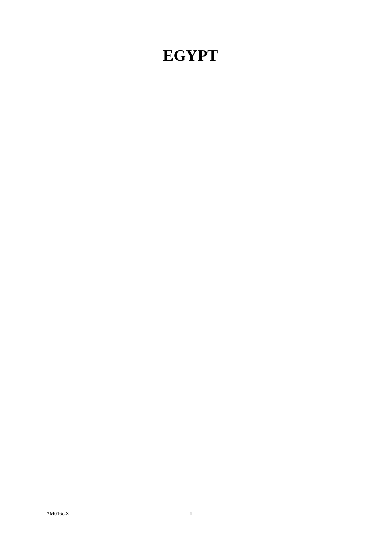## **EGYPT**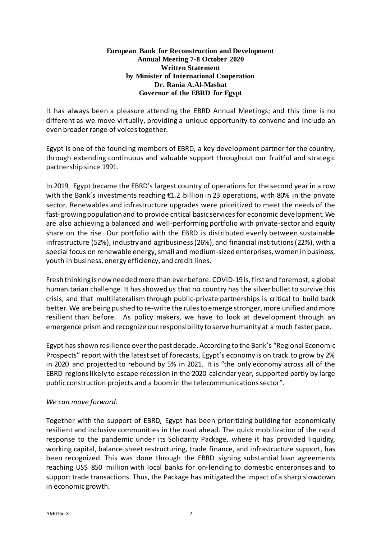## **European Bank for Reconstruction and Development Annual Meeting 7-8 October 2020 Written Statement by Minister of International Cooperation Dr. Rania A.Al-Mashat Governor of the EBRD for Egypt**

It has always been a pleasure attending the EBRD Annual Meetings; and this time is no different as we move virtually, providing a unique opportunity to convene and include an even broader range of voicestogether.

Egypt is one of the founding members of EBRD, a key development partner for the country, through extending continuous and valuable support throughout our fruitful and strategic partnership since 1991.

In 2019, Egypt became the EBRD's largest country of operationsfor the second year in a row with the Bank's investments reaching €1.2 billion in 23 operations, with 80% in the private sector. Renewables and infrastructure upgrades were prioritized to meet the needs of the fast-growing population and to provide critical basic servicesfor economic development. We are also achieving a balanced and well-performing portfolio with private-sector and equity share on the rise. Our portfolio with the EBRD is distributed evenly between sustainable infrastructure (52%), industry and agribusiness(26%), and financial institutions(22%), with a special focus on renewable energy, small and medium-sized enterprises, women in business, youth in business, energy efficiency, and credit lines.

Fresh thinking is now needed more than ever before. COVID-19is, first and foremost, a global humanitarian challenge. It has showed us that no country has the silverbulletto survive this crisis, and that multilateralism through public-private partnerships is critical to build back better. We are being pushed to re-write the rules to emerge stronger, more unified and more resilient than before. As policy makers, we have to look at development through an emergence prism and recognize our responsibility to serve humanity at a much faster pace.

Egypt has shown resilience overthe pastdecade. According to the Bank's "Regional Economic Prospects" report with the latest set of forecasts, Egypt's economy is on track to grow by 2% in 2020 and projected to rebound by 5% in 2021. It is "the only economy across all of the EBRD regionslikely to escape recession in the 2020 calendar year, supported partly by large public construction projects and a boom in the telecommunications sector".

## *We can move forward.*

Together with the support of EBRD, Egypt has been prioritizing building for economically resilient and inclusive communities in the road ahead. The quick mobilization of the rapid response to the pandemic under its Solidarity Package, where it has provided liquidity, working capital, balance sheet restructuring, trade finance, and infrastructure support, has been recognized. This was done through the EBRD signing substantial loan agreements reaching US\$ 850 million with local banks for on-lending to domestic enterprises and to support trade transactions. Thus, the Package has mitigated the impact of a sharp slowdown in economic growth.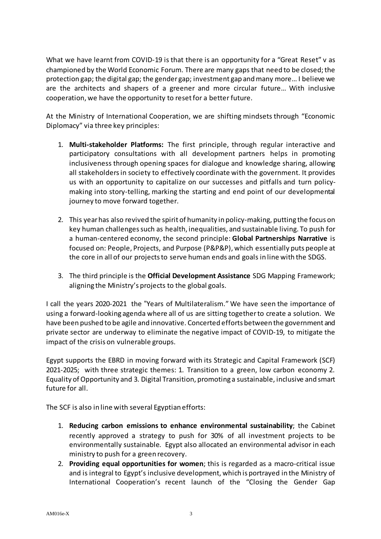What we have learnt from COVID-19 is that there is an opportunity for a "Great Reset" v as championed by the World Economic Forum. There are many gaps that need to be closed;the protection gap; the digital gap; the gender gap; investment gap andmany more… I believe we are the architects and shapers of a greener and more circular future… With inclusive cooperation, we have the opportunity to resetfor a better future.

At the Ministry of International Cooperation, we are shifting mindsets through "Economic Diplomacy" via three key principles:

- 1. **Multi-stakeholder Platforms:** The first principle, through regular interactive and participatory consultations with all development partners helps in promoting inclusiveness through opening spaces for dialogue and knowledge sharing, allowing all stakeholdersin society to effectively coordinate with the government. It provides us with an opportunity to capitalize on our successes and pitfalls and turn policymaking into story-telling, marking the starting and end point of our developmental journey to move forward together.
- 2. This yearhas also revived the spirit of humanity in policy-making, putting the focus on key human challengessuch as health, inequalities, and sustainable living. To push for a human-centered economy, the second principle: **Global Partnerships Narrative** is focused on: People, Projects, and Purpose (P&P&P), which essentially puts people at the core in all of our projectsto serve human ends and goals in line with the SDGS.
- 3. The third principle is the **Official Development Assistance** SDG Mapping Framework; aligning the Ministry's projects to the global goals.

I call the years 2020-2021 the "Years of Multilateralism." We have seen the importance of using a forward-looking agenda where all of us are sitting togetherto create a solution. We have been pushed to be agile and innovative. Concerted efforts between the government and private sector are underway to eliminate the negative impact of COVID-19, to mitigate the impact of the crisis on vulnerable groups.

Egypt supports the EBRD in moving forward with its Strategic and Capital Framework (SCF) 2021-2025; with three strategic themes: 1. Transition to a green, low carbon economy 2. Equality ofOpportunity and 3. Digital Transition, promoting a sustainable, inclusive and smart future for all.

The SCF is also in line with several Egyptian efforts:

- 1. **Reducing carbon emissions to enhance environmental sustainability**; the Cabinet recently approved a strategy to push for 30% of all investment projects to be environmentally sustainable. Egypt also allocated an environmental advisor in each ministry to push for a green recovery.
- 2. **Providing equal opportunities for women**; this is regarded as a macro-critical issue and is integral to Egypt's inclusive development, which is portrayed in the Ministry of International Cooperation's recent launch of the "Closing the Gender Gap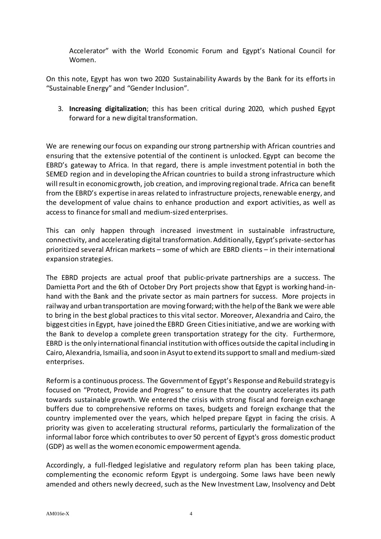Accelerator" with the World Economic Forum and Egypt's National Council for Women.

On this note, Egypt has won two 2020 Sustainability Awards by the Bank for its efforts in "Sustainable Energy" and "Gender Inclusion".

3. **Increasing digitalization**; this has been critical during 2020, which pushed Egypt forward for a new digital transformation.

We are renewing our focus on expanding our strong partnership with African countries and ensuring that the extensive potential of the continent is unlocked. Egypt can become the EBRD's gateway to Africa. In that regard, there is ample investment potential in both the SEMED region and in developing the African countries to build a strong infrastructure which will result in economic growth, job creation, and improving regional trade. Africa can benefit from the EBRD's expertise in areas related to infrastructure projects, renewable energy, and the development of value chains to enhance production and export activities, as well as access to finance for small and medium-sized enterprises.

This can only happen through increased investment in sustainable infrastructure, connectivity, and accelerating digital transformation. Additionally, Egypt's private-sectorhas prioritized several African markets – some of which are EBRD clients – in their international expansion strategies.

The EBRD projects are actual proof that public-private partnerships are a success. The Damietta Port and the 6th of October Dry Port projects show that Egypt is working hand-inhand with the Bank and the private sector as main partners for success. More projects in railway and urban transportation are moving forward; with the help of the Bank we were able to bring in the best global practices to this vital sector. Moreover, Alexandria and Cairo, the biggest cities in Egypt, have joined the EBRD Green Citiesinitiative, and we are working with the Bank to develop a complete green transportation strategy for the city. Furthermore, EBRD is the only international financial institution with offices outside the capital including in Cairo, Alexandria, Ismailia, and soon inAsyutto extend itssupportto small and medium-sized enterprises.

Reformis a continuous process. The Governmentof Egypt's Response and Rebuild strategy is focused on "Protect, Provide and Progress" to ensure that the country accelerates its path towards sustainable growth. We entered the crisis with strong fiscal and foreign exchange buffers due to comprehensive reforms on taxes, budgets and foreign exchange that the country implemented over the years, which helped prepare Egypt in facing the crisis. A priority was given to accelerating structural reforms, particularly the formalization of the informal labor force which contributes to over 50 percent of Egypt's gross domestic product (GDP) as well as the women economic empowerment agenda.

Accordingly, a full-fledged legislative and regulatory reform plan has been taking place, complementing the economic reform Egypt is undergoing. Some laws have been newly amended and others newly decreed, such as the New Investment Law, Insolvency and Debt